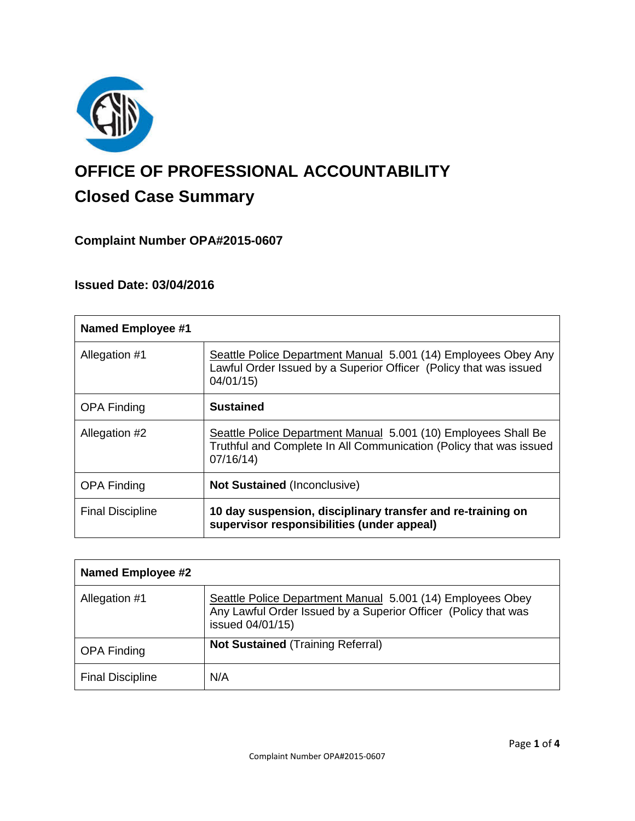

# **OFFICE OF PROFESSIONAL ACCOUNTABILITY Closed Case Summary**

# **Complaint Number OPA#2015-0607**

# **Issued Date: 03/04/2016**

| <b>Named Employee #1</b> |                                                                                                                                                  |
|--------------------------|--------------------------------------------------------------------------------------------------------------------------------------------------|
| Allegation #1            | Seattle Police Department Manual 5.001 (14) Employees Obey Any<br>Lawful Order Issued by a Superior Officer (Policy that was issued<br>04/01/15  |
| <b>OPA Finding</b>       | <b>Sustained</b>                                                                                                                                 |
| Allegation #2            | Seattle Police Department Manual 5.001 (10) Employees Shall Be<br>Truthful and Complete In All Communication (Policy that was issued<br>07/16/14 |
| <b>OPA Finding</b>       | <b>Not Sustained (Inconclusive)</b>                                                                                                              |
| <b>Final Discipline</b>  | 10 day suspension, disciplinary transfer and re-training on<br>supervisor responsibilities (under appeal)                                        |

| <b>Named Employee #2</b> |                                                                                                                                                  |
|--------------------------|--------------------------------------------------------------------------------------------------------------------------------------------------|
| Allegation #1            | Seattle Police Department Manual 5.001 (14) Employees Obey<br>Any Lawful Order Issued by a Superior Officer (Policy that was<br>issued 04/01/15) |
| <b>OPA Finding</b>       | <b>Not Sustained (Training Referral)</b>                                                                                                         |
| <b>Final Discipline</b>  | N/A                                                                                                                                              |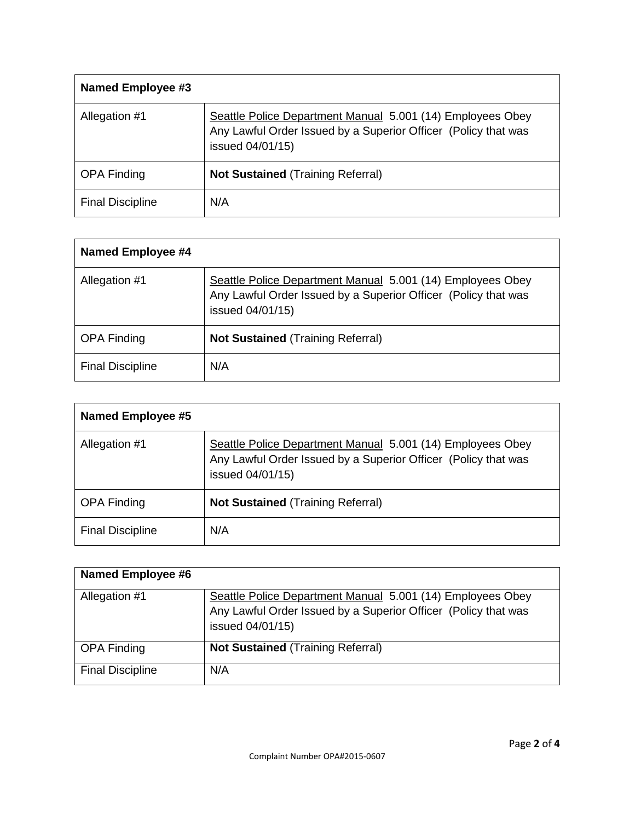| Named Employee #3       |                                                                                                                                                  |
|-------------------------|--------------------------------------------------------------------------------------------------------------------------------------------------|
| Allegation #1           | Seattle Police Department Manual 5.001 (14) Employees Obey<br>Any Lawful Order Issued by a Superior Officer (Policy that was<br>issued 04/01/15) |
| <b>OPA Finding</b>      | <b>Not Sustained (Training Referral)</b>                                                                                                         |
| <b>Final Discipline</b> | N/A                                                                                                                                              |

| Named Employee #4       |                                                                                                                                                  |
|-------------------------|--------------------------------------------------------------------------------------------------------------------------------------------------|
| Allegation #1           | Seattle Police Department Manual 5.001 (14) Employees Obey<br>Any Lawful Order Issued by a Superior Officer (Policy that was<br>issued 04/01/15) |
| <b>OPA Finding</b>      | <b>Not Sustained (Training Referral)</b>                                                                                                         |
| <b>Final Discipline</b> | N/A                                                                                                                                              |

| <b>Named Employee #5</b> |                                                                                                                                                  |
|--------------------------|--------------------------------------------------------------------------------------------------------------------------------------------------|
| Allegation #1            | Seattle Police Department Manual 5.001 (14) Employees Obey<br>Any Lawful Order Issued by a Superior Officer (Policy that was<br>issued 04/01/15) |
| <b>OPA Finding</b>       | <b>Not Sustained (Training Referral)</b>                                                                                                         |
| <b>Final Discipline</b>  | N/A                                                                                                                                              |

| <b>Named Employee #6</b> |                                                                                                                                                  |
|--------------------------|--------------------------------------------------------------------------------------------------------------------------------------------------|
| Allegation #1            | Seattle Police Department Manual 5.001 (14) Employees Obey<br>Any Lawful Order Issued by a Superior Officer (Policy that was<br>issued 04/01/15) |
| <b>OPA Finding</b>       | <b>Not Sustained (Training Referral)</b>                                                                                                         |
| <b>Final Discipline</b>  | N/A                                                                                                                                              |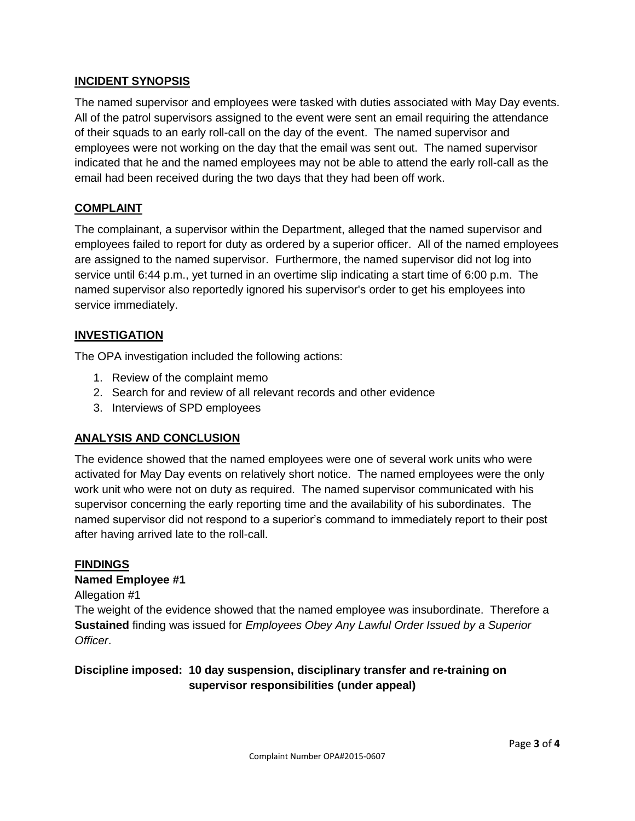## **INCIDENT SYNOPSIS**

The named supervisor and employees were tasked with duties associated with May Day events. All of the patrol supervisors assigned to the event were sent an email requiring the attendance of their squads to an early roll-call on the day of the event. The named supervisor and employees were not working on the day that the email was sent out. The named supervisor indicated that he and the named employees may not be able to attend the early roll-call as the email had been received during the two days that they had been off work.

## **COMPLAINT**

The complainant, a supervisor within the Department, alleged that the named supervisor and employees failed to report for duty as ordered by a superior officer. All of the named employees are assigned to the named supervisor. Furthermore, the named supervisor did not log into service until 6:44 p.m., yet turned in an overtime slip indicating a start time of 6:00 p.m. The named supervisor also reportedly ignored his supervisor's order to get his employees into service immediately.

#### **INVESTIGATION**

The OPA investigation included the following actions:

- 1. Review of the complaint memo
- 2. Search for and review of all relevant records and other evidence
- 3. Interviews of SPD employees

#### **ANALYSIS AND CONCLUSION**

The evidence showed that the named employees were one of several work units who were activated for May Day events on relatively short notice. The named employees were the only work unit who were not on duty as required. The named supervisor communicated with his supervisor concerning the early reporting time and the availability of his subordinates. The named supervisor did not respond to a superior's command to immediately report to their post after having arrived late to the roll-call.

#### **FINDINGS**

#### **Named Employee #1**

Allegation #1

The weight of the evidence showed that the named employee was insubordinate. Therefore a **Sustained** finding was issued for *Employees Obey Any Lawful Order Issued by a Superior Officer*.

**Discipline imposed: 10 day suspension, disciplinary transfer and re-training on supervisor responsibilities (under appeal)**